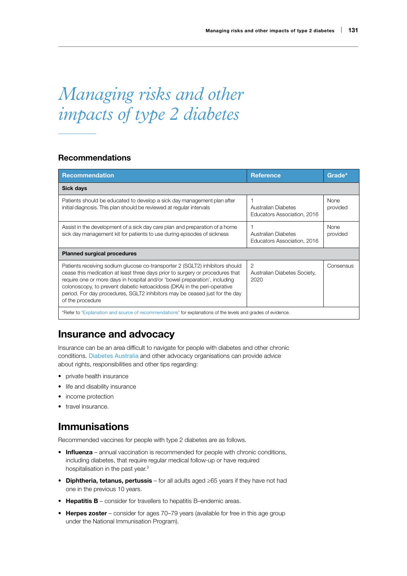# *Managing risks and other impacts of type 2 diabetes*

### Recommendations

| <b>Recommendation</b>                                                                                                                                                                                                                                                                                                                                                                                                       | <b>Reference</b>                                   | Grade*                  |
|-----------------------------------------------------------------------------------------------------------------------------------------------------------------------------------------------------------------------------------------------------------------------------------------------------------------------------------------------------------------------------------------------------------------------------|----------------------------------------------------|-------------------------|
| Sick days                                                                                                                                                                                                                                                                                                                                                                                                                   |                                                    |                         |
| Patients should be educated to develop a sick day management plan after<br>initial diagnosis. This plan should be reviewed at regular intervals                                                                                                                                                                                                                                                                             | Australian Diabetes<br>Educators Association, 2016 | <b>None</b><br>provided |
| Assist in the development of a sick day care plan and preparation of a home<br>sick day management kit for patients to use during episodes of sickness                                                                                                                                                                                                                                                                      | Australian Diabetes<br>Educators Association, 2016 | <b>None</b><br>provided |
| <b>Planned surgical procedures</b>                                                                                                                                                                                                                                                                                                                                                                                          |                                                    |                         |
| Patients receiving sodium glucose co-transporter 2 (SGLT2) inhibitors should<br>cease this medication at least three days prior to surgery or procedures that<br>require one or more days in hospital and/or 'bowel preparation', including<br>colonoscopy, to prevent diabetic ketoacidosis (DKA) in the peri-operative<br>period. For day procedures, SGLT2 inhibitors may be ceased just for the day<br>of the procedure | 2<br>Australian Diabetes Society,<br>2020          | Consensus               |
| *Refer to 'Explanation and source of recommendations' for explanations of the levels and grades of evidence.                                                                                                                                                                                                                                                                                                                |                                                    |                         |

# Insurance and advocacy

Insurance can be an area difficult to navigate for people with diabetes and other chronic conditions. [Diabetes Australia](https://www.diabetesaustralia.com.au/news/11777?type=articles) and other advocacy organisations can provide advice about rights, responsibilities and other tips regarding:

- private health insurance
- life and disability insurance
- income protection
- travel insurance.

# Immunisations

Recommended vaccines for people with type 2 diabetes are as follows.

- Influenza annual vaccination is recommended for people with chronic conditions, including diabetes, that require regular medical follow-up or have required hospitalisation in the past year.<sup>3</sup>
- Diphtheria, tetanus, pertussis for all adults aged ≥65 years if they have not had one in the previous 10 years.
- Hepatitis  $B$  consider for travellers to hepatitis B–endemic areas.
- Herpes zoster consider for ages 70–79 years (available for free in this age group under the National Immunisation Program).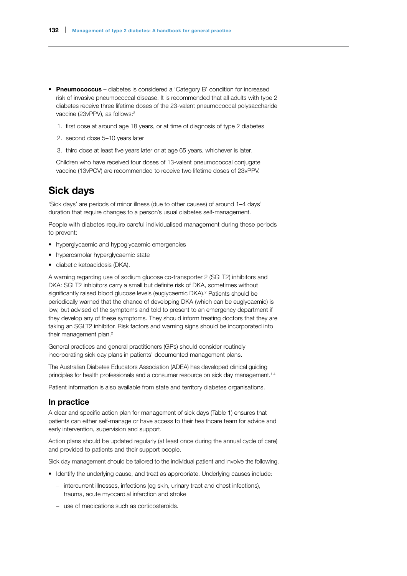- Pneumococcus diabetes is considered a 'Category B' condition for increased risk of invasive pneumococcal disease. It is recommended that all adults with type 2 diabetes receive three lifetime doses of the 23-valent pneumococcal polysaccharide vaccine (23vPPV), as follows:<sup>3</sup>
	- 1. first dose at around age 18 years, or at time of diagnosis of type 2 diabetes
	- 2. second dose 5–10 years later
	- 3. third dose at least five years later or at age 65 years, whichever is later.

Children who have received four doses of 13-valent pneumococcal conjugate vaccine (13vPCV) are recommended to receive two lifetime doses of 23vPPV.

### Sick days

'Sick days' are periods of minor illness (due to other causes) of around 1–4 days' duration that require changes to a person's usual diabetes self-management.

People with diabetes require careful individualised management during these periods to prevent:

- hyperglycaemic and hypoglycaemic emergencies
- hyperosmolar hyperglycaemic state
- diabetic ketoacidosis (DKA).

A warning regarding use of sodium glucose co-transporter 2 (SGLT2) inhibitors and DKA: SGLT2 inhibitors carry a small but definite risk of DKA, sometimes without significantly raised blood glucose levels (euglycaemic DKA).<sup>2</sup> Patients should be periodically warned that the chance of developing DKA (which can be euglycaemic) is low, but advised of the symptoms and told to present to an emergency department if they develop any of these symptoms. They should inform treating doctors that they are taking an SGLT2 inhibitor. Risk factors and warning signs should be incorporated into their management plan.<sup>2</sup>

General practices and general practitioners (GPs) should consider routinely incorporating sick day plans in patients' documented management plans.

The Australian Diabetes Educators Association (ADEA) has developed clinical guiding principles for health professionals and a consumer resource on sick day management.<sup>1,4</sup>

Patient information is also available from state and territory diabetes organisations.

### In practice

A clear and specific action plan for management of sick days (Table 1) ensures that patients can either self-manage or have access to their healthcare team for advice and early intervention, supervision and support.

Action plans should be updated regularly (at least once during the annual cycle of care) and provided to patients and their support people.

Sick day management should be tailored to the individual patient and involve the following.

- Identify the underlying cause, and treat as appropriate. Underlying causes include:
	- intercurrent illnesses, infections (eg skin, urinary tract and chest infections), trauma, acute myocardial infarction and stroke
	- use of medications such as corticosteroids.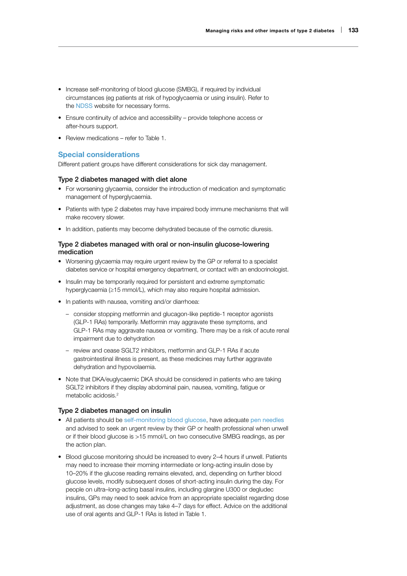- Increase self-monitoring of blood glucose (SMBG), if required by individual circumstances (eg patients at risk of hypoglycaemia or using insulin). Refer to the [NDSS](https://www.ndss.com.au/wp-content/uploads/forms/blood-glucose-test-strip-6-month-access-approval-form.pdf) website for necessary forms.
- Ensure continuity of advice and accessibility provide telephone access or after-hours support.
- Review medications refer to Table 1.

### Special considerations

Different patient groups have different considerations for sick day management.

#### Type 2 diabetes managed with diet alone

- For worsening glycaemia, consider the introduction of medication and symptomatic management of hyperglycaemia.
- Patients with type 2 diabetes may have impaired body immune mechanisms that will make recovery slower.
- In addition, patients may become dehydrated because of the osmotic diuresis.

### Type 2 diabetes managed with oral or non-insulin glucose-lowering medication

- Worsening glycaemia may require urgent review by the GP or referral to a specialist diabetes service or hospital emergency department, or contact with an endocrinologist.
- Insulin may be temporarily required for persistent and extreme symptomatic hyperglycaemia (≥15 mmol/L), which may also require hospital admission.
- In patients with nausea, vomiting and/or diarrhoea:
	- consider stopping metformin and glucagon-like peptide-1 receptor agonists (GLP-1 RAs) temporarily. Metformin may aggravate these symptoms, and GLP-1 RAs may aggravate nausea or vomiting. There may be a risk of acute renal impairment due to dehydration
	- review and cease SGLT2 inhibitors, metformin and GLP-1 RAs if acute gastrointestinal illness is present, as these medicines may further aggravate dehydration and hypovolaemia.
- Note that DKA/euglycaemic DKA should be considered in patients who are taking SGLT2 inhibitors if they display abdominal pain, nausea, vomiting, fatigue or metabolic acidosis.2

#### Type 2 diabetes managed on insulin

- All patients should be [self-monitoring blood glucose](https://www.ndss.com.au/wp-content/uploads/order-forms/blood-glucose-testing-strips-order-form.pdf), have adequate pen needles and advised to seek an urgent review by their GP or health professional when unwell or if their blood glucose is >15 mmol/L on two consecutive SMBG readings, as per the action plan.
- Blood glucose monitoring should be increased to every 2–4 hours if unwell. Patients may need to increase their morning intermediate or long-acting insulin dose by 10–20% if the glucose reading remains elevated, and, depending on further blood glucose levels, modify subsequent doses of short-acting insulin during the day. For people on ultra–long-acting basal insulins, including glargine U300 or degludec insulins, GPs may need to seek advice from an appropriate specialist regarding dose adjustment, as dose changes may take 4–7 days for effect. Advice on the additional use of oral agents and GLP-1 RAs is listed in Table 1.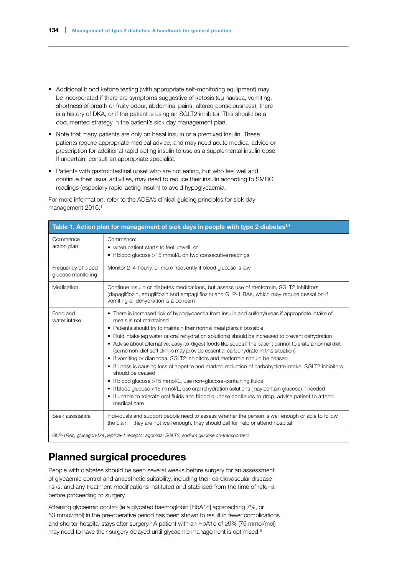- Additional blood ketone testing (with appropriate self-monitoring equipment) may be incorporated if there are symptoms suggestive of ketosis (eg nausea, vomiting, shortness of breath or fruity odour, abdominal pains, altered consciousness), there is a history of DKA, or if the patient is using an SGLT2 inhibitor. This should be a documented strategy in the patient's sick day management plan.
- Note that many patients are only on basal insulin or a premixed insulin. These patients require appropriate medical advice, and may need acute medical advice or prescription for additional rapid-acting insulin to use as a supplemental insulin dose.<sup>1</sup> If uncertain, consult an appropriate specialist.
- Patients with gastrointestinal upset who are not eating, but who feel well and continue their usual activities, may need to reduce their insulin according to SMBG readings (especially rapid-acting insulin) to avoid hypoglycaemia.

For more information, refer to the ADEA's clinical guiding principles for sick day management 2016.<sup>1</sup>

| Table 1. Action plan for management of sick days in people with type 2 diabetes <sup>1,4</sup> |                                                                                                                                                                                                                                                                                                                                                                                                                                                                                                                                                                                                                                                                                                                                                                                                                                                                                                                                                                                                                     |  |
|------------------------------------------------------------------------------------------------|---------------------------------------------------------------------------------------------------------------------------------------------------------------------------------------------------------------------------------------------------------------------------------------------------------------------------------------------------------------------------------------------------------------------------------------------------------------------------------------------------------------------------------------------------------------------------------------------------------------------------------------------------------------------------------------------------------------------------------------------------------------------------------------------------------------------------------------------------------------------------------------------------------------------------------------------------------------------------------------------------------------------|--|
| Commence<br>action plan                                                                        | Commence:<br>• when patient starts to feel unwell, or<br>• if blood glucose >15 mmol/L on two consecutive readings                                                                                                                                                                                                                                                                                                                                                                                                                                                                                                                                                                                                                                                                                                                                                                                                                                                                                                  |  |
| Frequency of blood<br>glucose monitoring                                                       | Monitor 2-4-hourly, or more frequently if blood glucose is low                                                                                                                                                                                                                                                                                                                                                                                                                                                                                                                                                                                                                                                                                                                                                                                                                                                                                                                                                      |  |
| Medication                                                                                     | Continue insulin or diabetes medications, but assess use of metformin, SGLT2 inhibitors<br>(dapagliflozin, ertugliflozin and empagliflozin) and GLP-1 RAs, which may require cessation if<br>vomiting or dehydration is a concern                                                                                                                                                                                                                                                                                                                                                                                                                                                                                                                                                                                                                                                                                                                                                                                   |  |
| Food and<br>water intake                                                                       | • There is increased risk of hypoglycaemia from insulin and sulfonylureas if appropriate intake of<br>meals is not maintained<br>• Patients should try to maintain their normal meal plans if possible<br>• Fluid intake (eq water or oral rehydration solutions) should be increased to prevent dehydration<br>• Advise about alternative, easy-to-digest foods like soups if the patient cannot tolerate a normal diet<br>(some non-diet soft drinks may provide essential carbohydrate in this situation)<br>• If vomiting or diarrhoea, SGLT2 inhibitors and metformin should be ceased<br>• If illness is causing loss of appetite and marked reduction of carbohydrate intake, SGLT2 inhibitors<br>should be ceased<br>• If blood glucose >15 mmol/L, use non-glucose-containing fluids<br>• If blood glucose <15 mmol/L, use oral rehydration solutions (may contain glucose) if needed<br>• If unable to tolerate oral fluids and blood glucose continues to drop, advise patient to attend<br>medical care |  |
| Seek assistance                                                                                | Individuals and support people need to assess whether the person is well enough or able to follow<br>the plan; if they are not well enough, they should call for help or attend hospital                                                                                                                                                                                                                                                                                                                                                                                                                                                                                                                                                                                                                                                                                                                                                                                                                            |  |
|                                                                                                | GLP-1RAs, glucagon-like peptide-1 receptor agonists; SGLT2, sodium glucose co-transporter 2                                                                                                                                                                                                                                                                                                                                                                                                                                                                                                                                                                                                                                                                                                                                                                                                                                                                                                                         |  |

# Planned surgical procedures

People with diabetes should be seen several weeks before surgery for an assessment of glycaemic control and anaesthetic suitability, including their cardiovascular disease risks, and any treatment modifications instituted and stabilised from the time of referral before proceeding to surgery.

Attaining glycaemic control (ie a glycated haemoglobin [HbA1c] approaching 7%, or 53 mmol/mol) in the pre-operative period has been shown to result in fewer complications and shorter hospital stays after surgery.<sup>5</sup> A patient with an HbA1c of  $\geq$ 9% (75 mmol/mol) may need to have their surgery delayed until glycaemic management is optimised.<sup>5</sup>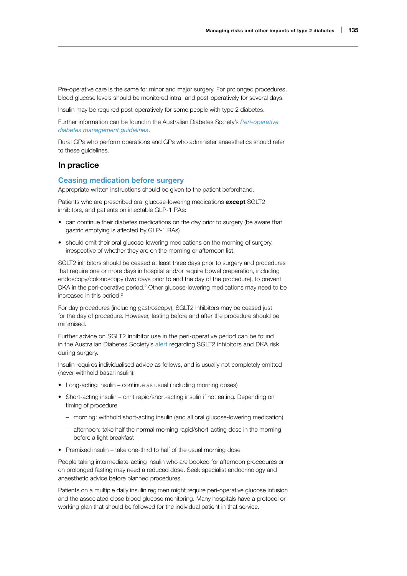Pre-operative care is the same for minor and major surgery. For prolonged procedures, blood glucose levels should be monitored intra- and post-operatively for several days.

Insulin may be required post-operatively for some people with type 2 diabetes.

Further information can be found in the Australian Diabetes Society's *[Peri-operative](https://diabetessociety.com.au/documents/PerioperativeDiabetesManagementGuidelinesFINALCleanJuly2012.pdf)  [diabetes management guidelines](https://diabetessociety.com.au/documents/PerioperativeDiabetesManagementGuidelinesFINALCleanJuly2012.pdf)*.

Rural GPs who perform operations and GPs who administer anaesthetics should refer to these guidelines.

### In practice

#### Ceasing medication before surgery

Appropriate written instructions should be given to the patient beforehand.

Patients who are prescribed oral glucose-lowering medications except SGLT2 inhibitors, and patients on injectable GLP-1 RAs:

- can continue their diabetes medications on the day prior to surgery (be aware that gastric emptying is affected by GLP-1 RAs)
- should omit their oral glucose-lowering medications on the morning of surgery, irrespective of whether they are on the morning or afternoon list.

SGLT2 inhibitors should be ceased at least three days prior to surgery and procedures that require one or more days in hospital and/or require bowel preparation, including endoscopy/colonoscopy (two days prior to and the day of the procedure), to prevent DKA in the peri-operative period.<sup>2</sup> Other glucose-lowering medications may need to be increased in this period.<sup>2</sup>

For day procedures (including gastroscopy), SGLT2 inhibitors may be ceased just for the day of procedure. However, fasting before and after the procedure should be minimised.

Further advice on SGLT2 inhibitor use in the peri-operative period can be found in the Australian Diabetes Society's [alert](https://diabetessociety.com.au/documents/ADS_DKA_SGLT2i_Alert_update_2020.pdf) regarding SGLT2 inhibitors and DKA risk during surgery.

Insulin requires individualised advice as follows, and is usually not completely omitted (never withhold basal insulin):

- Long-acting insulin continue as usual (including morning doses)
- Short-acting insulin omit rapid/short-acting insulin if not eating. Depending on timing of procedure
	- morning: withhold short-acting insulin (and all oral glucose-lowering medication)
	- afternoon: take half the normal morning rapid/short-acting dose in the morning before a light breakfast
- Premixed insulin take one-third to half of the usual morning dose

People taking intermediate-acting insulin who are booked for afternoon procedures or on prolonged fasting may need a reduced dose. Seek specialist endocrinology and anaesthetic advice before planned procedures.

Patients on a multiple daily insulin regimen might require peri-operative glucose infusion and the associated close blood glucose monitoring. Many hospitals have a protocol or working plan that should be followed for the individual patient in that service.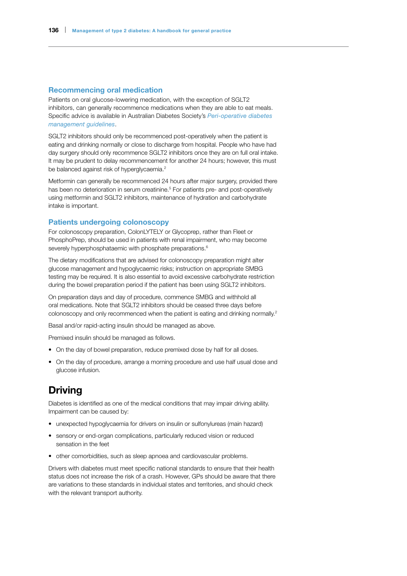#### Recommencing oral medication

Patients on oral glucose-lowering medication, with the exception of SGLT2 inhibitors, can generally recommence medications when they are able to eat meals. Specific advice is available in Australian Diabetes Society's *[Peri-operative diabetes](https://diabetessociety.com.au/documents/PerioperativeDiabetesManagementGuidelinesFINALCleanJuly2012.pdf)  [management guidelines](https://diabetessociety.com.au/documents/PerioperativeDiabetesManagementGuidelinesFINALCleanJuly2012.pdf)*.

SGLT2 inhibitors should only be recommenced post-operatively when the patient is eating and drinking normally or close to discharge from hospital. People who have had day surgery should only recommence SGLT2 inhibitors once they are on full oral intake. It may be prudent to delay recommencement for another 24 hours; however, this must be balanced against risk of hyperglycaemia.<sup>2</sup>

Metformin can generally be recommenced 24 hours after major surgery, provided there has been no deterioration in serum creatinine.<sup>5</sup> For patients pre- and post-operatively using metformin and SGLT2 inhibitors, maintenance of hydration and carbohydrate intake is important.

### Patients undergoing colonoscopy

For colonoscopy preparation, ColonLYTELY or Glycoprep, rather than Fleet or PhosphoPrep, should be used in patients with renal impairment, who may become severely hyperphosphataemic with phosphate preparations.<sup>6</sup>

The dietary modifications that are advised for colonoscopy preparation might alter glucose management and hypoglycaemic risks; instruction on appropriate SMBG testing may be required. It is also essential to avoid excessive carbohydrate restriction during the bowel preparation period if the patient has been using SGLT2 inhibitors.

On preparation days and day of procedure, commence SMBG and withhold all oral medications. Note that SGLT2 inhibitors should be ceased three days before colonoscopy and only recommenced when the patient is eating and drinking normally.<sup>2</sup>

Basal and/or rapid-acting insulin should be managed as above.

Premixed insulin should be managed as follows.

- On the day of bowel preparation, reduce premixed dose by half for all doses.
- On the day of procedure, arrange a morning procedure and use half usual dose and glucose infusion.

# Driving

Diabetes is identified as one of the medical conditions that may impair driving ability. Impairment can be caused by:

- unexpected hypoglycaemia for drivers on insulin or sulfonylureas (main hazard)
- sensory or end-organ complications, particularly reduced vision or reduced sensation in the feet
- other comorbidities, such as sleep apnoea and cardiovascular problems.

Drivers with diabetes must meet specific national standards to ensure that their health status does not increase the risk of a crash. However, GPs should be aware that there are variations to these standards in individual states and territories, and should check with the relevant transport authority.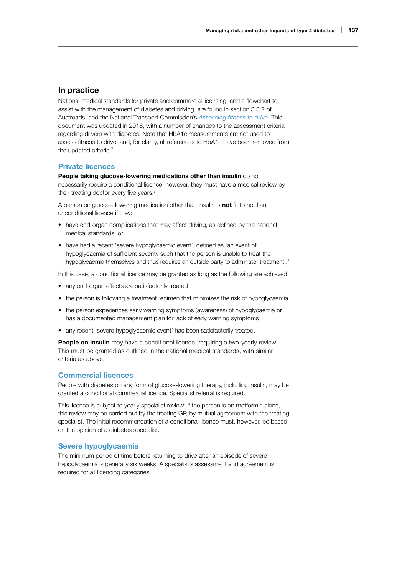### In practice

National medical standards for private and commercial licensing, and a flowchart to assist with the management of diabetes and driving, are found in section 3.3.2 of Austroads' and the National Transport Commission's *[Assessing fitness to drive](https://austroads.com.au/publications/assessing-fitness-to-drive/ap-g56/diabetes-mellitus/medical-standards-for-licensing-2)*. This document was updated in 2016, with a number of changes to the assessment criteria regarding drivers with diabetes. Note that HbA1c measurements are not used to assess fitness to drive, and, for clarity, all references to HbA1c have been removed from the updated criteria.<sup>7</sup>

#### Private licences

People taking glucose-lowering medications other than insulin do not necessarily require a conditional licence; however, they must have a medical review by their treating doctor every five years.<sup>7</sup>

A person on glucose-lowering medication other than insulin is not fit to hold an unconditional licence if they:

- have end-organ complications that may affect driving, as defined by the national medical standards, or
- have had a recent 'severe hypoglycaemic event', defined as 'an event of hypoglycaemia of sufficient severity such that the person is unable to treat the hypoglycaemia themselves and thus requires an outside party to administer treatment'.<sup>7</sup>

In this case, a conditional licence may be granted as long as the following are achieved:

- any end-organ effects are satisfactorily treated
- the person is following a treatment regimen that minimises the risk of hypoglycaemia
- the person experiences early warning symptoms (awareness) of hypoglycaemia or has a documented management plan for lack of early warning symptoms
- any recent 'severe hypoglycaemic event' has been satisfactorily treated.

People on insulin may have a conditional licence, requiring a two-yearly review. This must be granted as outlined in the national medical standards, with similar criteria as above.

### Commercial licences

People with diabetes on any form of glucose-lowering therapy, including insulin, may be granted a conditional commercial licence. Specialist referral is required.

This licence is subject to yearly specialist review; if the person is on metformin alone, this review may be carried out by the treating GP, by mutual agreement with the treating specialist. The initial recommendation of a conditional licence must, however, be based on the opinion of a diabetes specialist.

### Severe hypoglycaemia

The minimum period of time before returning to drive after an episode of severe hypoglycaemia is generally six weeks. A specialist's assessment and agreement is required for all licencing categories.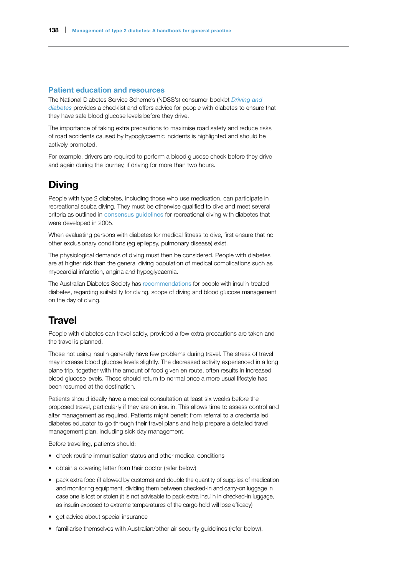#### Patient education and resources

The National Diabetes Service Scheme's (NDSS's) consumer booklet *[Driving and](http://www.ndss.com.au/diabetes-and-driving-booklet/)  [diabetes](http://www.ndss.com.au/diabetes-and-driving-booklet/)* provides a checklist and offers advice for people with diabetes to ensure that they have safe blood glucose levels before they drive.

The importance of taking extra precautions to maximise road safety and reduce risks of road accidents caused by hypoglycaemic incidents is highlighted and should be actively promoted.

For example, drivers are required to perform a blood glucose check before they drive and again during the journey, if driving for more than two hours.

### **Diving**

People with type 2 diabetes, including those who use medication, can participate in recreational scuba diving. They must be otherwise qualified to dive and meet several criteria as outlined in [consensus guidelines](https://www.diversalertnetwork.org/medical/articles/DAN_and_UHMS_Publish_Guidelines_for_Recreational_Diving_with_Diabetes_) for recreational diving with diabetes that were developed in 2005.

When evaluating persons with diabetes for medical fitness to dive, first ensure that no other exclusionary conditions (eg epilepsy, pulmonary disease) exist.

The physiological demands of diving must then be considered. People with diabetes are at higher risk than the general diving population of medical complications such as myocardial infarction, angina and hypoglycaemia.

The Australian Diabetes Society has [recommendations](https://diabetessociety.com.au/documents/ADS_Diving_Diabetes_2016_Final.pdf) for people with insulin-treated diabetes, regarding suitability for diving, scope of diving and blood glucose management on the day of diving.

### **Travel**

People with diabetes can travel safely, provided a few extra precautions are taken and the travel is planned.

Those not using insulin generally have few problems during travel. The stress of travel may increase blood glucose levels slightly. The decreased activity experienced in a long plane trip, together with the amount of food given en route, often results in increased blood glucose levels. These should return to normal once a more usual lifestyle has been resumed at the destination.

Patients should ideally have a medical consultation at least six weeks before the proposed travel, particularly if they are on insulin. This allows time to assess control and alter management as required. Patients might benefit from referral to a credentialled diabetes educator to go through their travel plans and help prepare a detailed travel management plan, including sick day management.

Before travelling, patients should:

- check routine immunisation status and other medical conditions
- obtain a covering letter from their doctor (refer below)
- pack extra food (if allowed by customs) and double the quantity of supplies of medication and monitoring equipment, dividing them between checked-in and carry-on luggage in case one is lost or stolen (it is not advisable to pack extra insulin in checked-in luggage, as insulin exposed to extreme temperatures of the cargo hold will lose efficacy)
- get advice about special insurance
- familiarise themselves with Australian/other air security guidelines (refer below).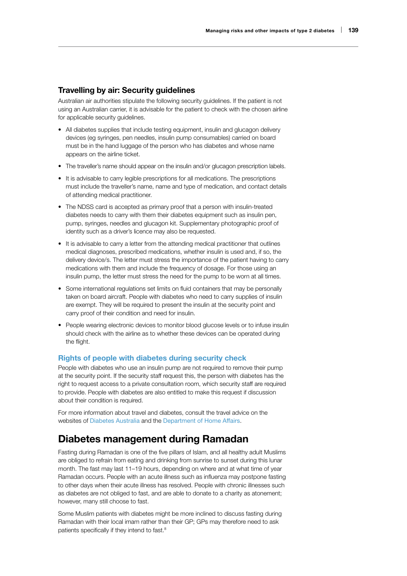### Travelling by air: Security guidelines

Australian air authorities stipulate the following security guidelines. If the patient is not using an Australian carrier, it is advisable for the patient to check with the chosen airline for applicable security quidelines.

- All diabetes supplies that include testing equipment, insulin and glucagon delivery devices (eg syringes, pen needles, insulin pump consumables) carried on board must be in the hand luggage of the person who has diabetes and whose name appears on the airline ticket.
- The traveller's name should appear on the insulin and/or glucagon prescription labels.
- It is advisable to carry legible prescriptions for all medications. The prescriptions must include the traveller's name, name and type of medication, and contact details of attending medical practitioner.
- The NDSS card is accepted as primary proof that a person with insulin-treated diabetes needs to carry with them their diabetes equipment such as insulin pen, pump, syringes, needles and glucagon kit. Supplementary photographic proof of identity such as a driver's licence may also be requested.
- It is advisable to carry a letter from the attending medical practitioner that outlines medical diagnoses, prescribed medications, whether insulin is used and, if so, the delivery device/s. The letter must stress the importance of the patient having to carry medications with them and include the frequency of dosage. For those using an insulin pump, the letter must stress the need for the pump to be worn at all times.
- Some international regulations set limits on fluid containers that may be personally taken on board aircraft. People with diabetes who need to carry supplies of insulin are exempt. They will be required to present the insulin at the security point and carry proof of their condition and need for insulin.
- People wearing electronic devices to monitor blood glucose levels or to infuse insulin should check with the airline as to whether these devices can be operated during the flight.

### Rights of people with diabetes during security check

People with diabetes who use an insulin pump are not required to remove their pump at the security point. If the security staff request this, the person with diabetes has the right to request access to a private consultation room, which security staff are required to provide. People with diabetes are also entitled to make this request if discussion about their condition is required.

For more information about travel and diabetes, consult the travel advice on the websites of [Diabetes Australia](http://www.diabetesaustralia.com.au/travel) and the [Department of Home Affairs](https://www.homeaffairs.gov.au/about-us/what-we-do/travelsecure/travellers-with-specific-needs).

### Diabetes management during Ramadan

Fasting during Ramadan is one of the five pillars of Islam, and all healthy adult Muslims are obliged to refrain from eating and drinking from sunrise to sunset during this lunar month. The fast may last 11–19 hours, depending on where and at what time of year Ramadan occurs. People with an acute illness such as influenza may postpone fasting to other days when their acute illness has resolved. People with chronic illnesses such as diabetes are not obliged to fast, and are able to donate to a charity as atonement; however, many still choose to fast.

Some Muslim patients with diabetes might be more inclined to discuss fasting during Ramadan with their local imam rather than their GP; GPs may therefore need to ask patients specifically if they intend to fast.8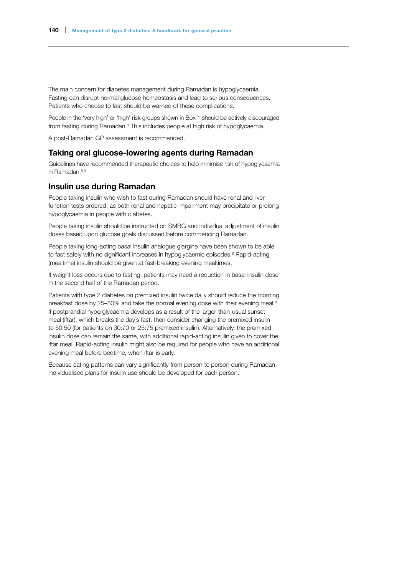The main concern for diabetes management during Ramadan is hypoglycaemia. Fasting can disrupt normal glucose homeostasis and lead to serious consequences. Patients who choose to fast should be warned of these complications.

People in the 'very high' or 'high' risk groups shown in Box 1 should be actively discouraged from fasting during Ramadan.<sup>8</sup> This includes people at high risk of hypoglycaemia.

A post-Ramadan GP assessment is recommended.

### Taking oral glucose-lowering agents during Ramadan

Guidelines have recommended therapeutic choices to help minimise risk of hypoglycaemia in Ramadan.<sup>8,9</sup>

### Insulin use during Ramadan

People taking insulin who wish to fast during Ramadan should have renal and liver function tests ordered, as both renal and hepatic impairment may precipitate or prolong hypoglycaemia in people with diabetes.

People taking insulin should be instructed on SMBG and individual adjustment of insulin doses based upon glucose goals discussed before commencing Ramadan.

People taking long-acting basal insulin analogue glargine have been shown to be able to fast safely with no significant increases in hypoglycaemic episodes.<sup>8</sup> Rapid-acting (mealtime) insulin should be given at fast-breaking evening mealtimes.

If weight loss occurs due to fasting, patients may need a reduction in basal insulin dose in the second half of the Ramadan period.

Patients with type 2 diabetes on premixed insulin twice daily should reduce the morning breakfast dose by 25-50% and take the normal evening dose with their evening meal.<sup>8</sup> If postprandial hyperglycaemia develops as a result of the larger-than-usual sunset meal (iftar), which breaks the day's fast, then consider changing the premixed insulin to 50:50 (for patients on 30:70 or 25:75 premixed insulin). Alternatively, the premixed insulin dose can remain the same, with additional rapid-acting insulin given to cover the iftar meal. Rapid-acting insulin might also be required for people who have an additional evening meal before bedtime, when iftar is early.

Because eating patterns can vary significantly from person to person during Ramadan, individualised plans for insulin use should be developed for each person.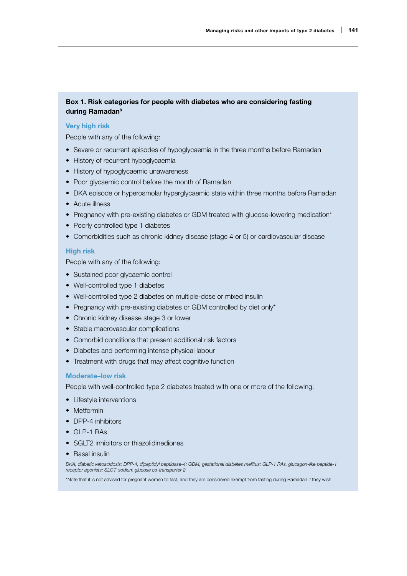### Box 1. Risk categories for people with diabetes who are considering fasting during Ramadan<sup>8</sup>

### Very high risk

People with any of the following:

- Severe or recurrent episodes of hypoglycaemia in the three months before Ramadan
- History of recurrent hypoglycaemia
- History of hypoglycaemic unawareness
- Poor glycaemic control before the month of Ramadan
- DKA episode or hyperosmolar hyperglycaemic state within three months before Ramadan
- Acute illness
- Pregnancy with pre-existing diabetes or GDM treated with glucose-lowering medication\*
- Poorly controlled type 1 diabetes
- Comorbidities such as chronic kidney disease (stage 4 or 5) or cardiovascular disease

### High risk

People with any of the following:

- Sustained poor glycaemic control
- Well-controlled type 1 diabetes
- Well-controlled type 2 diabetes on multiple-dose or mixed insulin
- Pregnancy with pre-existing diabetes or GDM controlled by diet only\*
- Chronic kidney disease stage 3 or lower
- Stable macrovascular complications
- Comorbid conditions that present additional risk factors
- Diabetes and performing intense physical labour
- Treatment with drugs that may affect cognitive function

#### Moderate–low risk

People with well-controlled type 2 diabetes treated with one or more of the following:

- Lifestyle interventions
- Metformin
- DPP-4 inhibitors
- GLP-1 RAs
- SGLT2 inhibitors or thiazolidinediones
- Basal insulin

*DKA, diabetic ketoacidosis; DPP-4, dipeptidyl peptidase-4; GDM, gestational diabetes mellitus; GLP-1 RAs, glucagon-like peptide-1 receptor agonists; SLGT, sodium glucose co-transporter 2*

\*Note that it is not advised for pregnant women to fast, and they are considered exempt from fasting during Ramadan if they wish.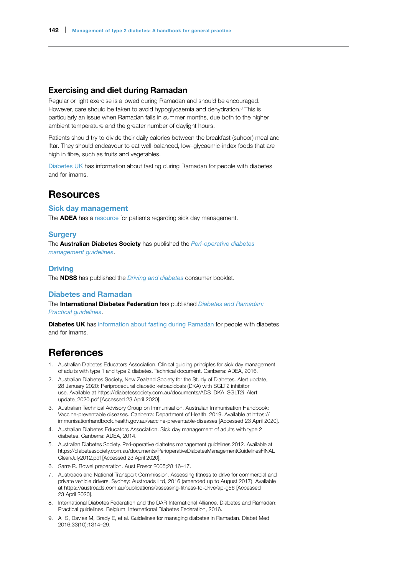### Exercising and diet during Ramadan

Regular or light exercise is allowed during Ramadan and should be encouraged. However, care should be taken to avoid hypoglycaemia and dehydration.<sup>8</sup> This is particularly an issue when Ramadan falls in summer months, due both to the higher ambient temperature and the greater number of daylight hours.

Patients should try to divide their daily calories between the breakfast (suhoor) meal and iftar. They should endeavour to eat well-balanced, low–glycaemic-index foods that are high in fibre, such as fruits and vegetables.

[Diabetes UK](https://www.diabetes.org.uk/guide-to-diabetes/managing-your-diabetes/ramadan) has information about fasting during Ramadan for people with diabetes and for imams.

### Resources

#### Sick day management

The **ADEA** has a [resource](https://www.adea.com.au/as_agentcs.p?cmd=Portal_getDocument(0x000000004202bd11,457e6c7c6bb9a2a73cbba0b34e3ea03e8a4c7166)&TenID=ADEA) for patients regarding sick day management.

#### **Surgery**

The Australian Diabetes Society has published the *[Peri-operative diabetes](https://diabetessociety.com.au/documents/PerioperativeDiabetesManagementGuidelinesFINALCleanJuly2012.pdf)  [management guidelines](https://diabetessociety.com.au/documents/PerioperativeDiabetesManagementGuidelinesFINALCleanJuly2012.pdf)*.

### **Driving**

The NDSS has published the *[Driving and diabetes](http://www.ndss.com.au/diabetes-and-driving-booklet/)* consumer booklet.

### Diabetes and Ramadan

The International Diabetes Federation has published *[Diabetes and Ramadan:](https://www.idf.org/e-library/guidelines/87-diabetes-and-ramadan-practical-25.html)  [Practical guidelines](https://www.idf.org/e-library/guidelines/87-diabetes-and-ramadan-practical-25.html)*.

**Diabetes UK** has [information about fasting during Ramadan](https://www.diabetes.org.uk/guide-to-diabetes/managing-your-diabetes/ramadan) for people with diabetes and for imams.

### **References**

- 1. Australian Diabetes Educators Association. Clinical guiding principles for sick day management of adults with type 1 and type 2 diabetes. Technical document. Canberra: ADEA, 2016.
- 2. Australian Diabetes Society, New Zealand Society for the Study of Diabetes. Alert update, 28 January 2020: Periprocedural diabetic ketoacidosis (DKA) with SGLT2 inhibitor use. Available at [https://diabetessociety.com.au/documents/ADS\\_DKA\\_SGLT2i\\_Alert\\_](https://diabetessociety.com.au/documents/ADS_DKA_SGLT2i_Alert_update_2020.pdf) [update\\_2020.pdf](https://diabetessociety.com.au/documents/ADS_DKA_SGLT2i_Alert_update_2020.pdf) [Accessed 23 April 2020].
- 3. Australian Technical Advisory Group on Immunisation. Australian Immunisation Handbook: Vaccine-preventable diseases. Canberra: Department of Health, 2019. Available at [https://](https://immunisationhandbook.health.gov.au/vaccine-preventable-diseases) [immunisationhandbook.health.gov.au/vaccine-preventable-diseases](https://immunisationhandbook.health.gov.au/vaccine-preventable-diseases) [Accessed 23 April 2020].
- 4. Australian Diabetes Educators Association. Sick day management of adults with type 2 diabetes. Canberra: ADEA, 2014.
- 5. Australian Diabetes Society. Peri-operative diabetes management guidelines 2012. Available at [https://diabetessociety.com.au/documents/PerioperativeDiabetesManagementGuidelinesFINAL](https://diabetessociety.com.au/documents/PerioperativeDiabetesManagementGuidelinesFINALCleanJuly2012.pdf) [CleanJuly2012.pdf](https://diabetessociety.com.au/documents/PerioperativeDiabetesManagementGuidelinesFINALCleanJuly2012.pdf) [Accessed 23 April 2020].
- 6. Sarre R. Bowel preparation. Aust Prescr 2005;28:16–17.
- 7. Austroads and National Transport Commission. Assessing fitness to drive for commercial and private vehicle drivers. Sydney: Austroads Ltd, 2016 (amended up to August 2017). Available at <https://austroads.com.au/publications/assessing-fitness-to-drive/ap-g56> [Accessed 23 April 2020].
- 8. International Diabetes Federation and the DAR International Alliance. Diabetes and Ramadan: Practical guidelines. Belgium: International Diabetes Federation, 2016.
- 9. Ali S, Davies M, Brady E, et al. Guidelines for managing diabetes in Ramadan. Diabet Med 2016;33(10):1314–29.